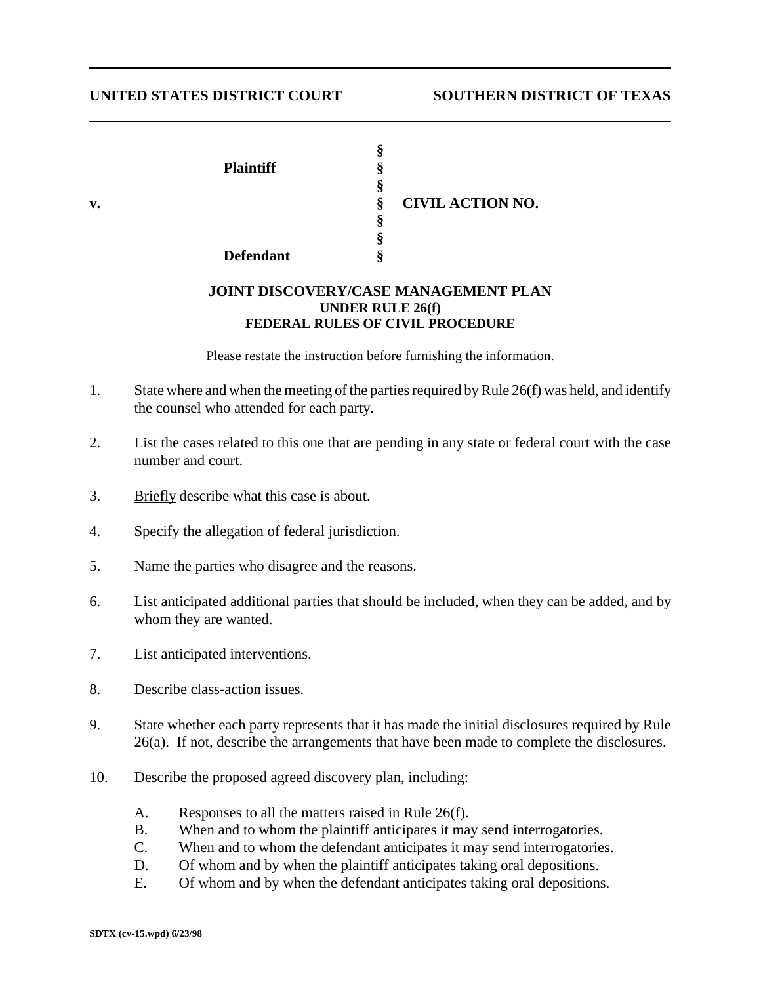## **UNITED STATES DISTRICT COURT SOUTHERN DISTRICT OF TEXAS**

| v. | <b>Plaintiff</b><br><b>Defendant</b> | м<br>.,<br>Ş<br>\$<br>8 | <b>CIVIL ACTION NO.</b> |
|----|--------------------------------------|-------------------------|-------------------------|
|    |                                      |                         |                         |

## **JOINT DISCOVERY/CASE MANAGEMENT PLAN UNDER RULE 26(f) FEDERAL RULES OF CIVIL PROCEDURE**

Please restate the instruction before furnishing the information.

- 1. State where and when the meeting of the parties required by Rule 26(f) was held, and identify the counsel who attended for each party.
- 2. List the cases related to this one that are pending in any state or federal court with the case number and court.
- 3. Briefly describe what this case is about.
- 4. Specify the allegation of federal jurisdiction.
- 5. Name the parties who disagree and the reasons.
- 6. List anticipated additional parties that should be included, when they can be added, and by whom they are wanted.
- 7. List anticipated interventions.
- 8. Describe class-action issues.
- 9. State whether each party represents that it has made the initial disclosures required by Rule 26(a). If not, describe the arrangements that have been made to complete the disclosures.
- 10. Describe the proposed agreed discovery plan, including:
	- A. Responses to all the matters raised in Rule 26(f).
	- B. When and to whom the plaintiff anticipates it may send interrogatories.
	- C. When and to whom the defendant anticipates it may send interrogatories.
	- D. Of whom and by when the plaintiff anticipates taking oral depositions.
	- E. Of whom and by when the defendant anticipates taking oral depositions.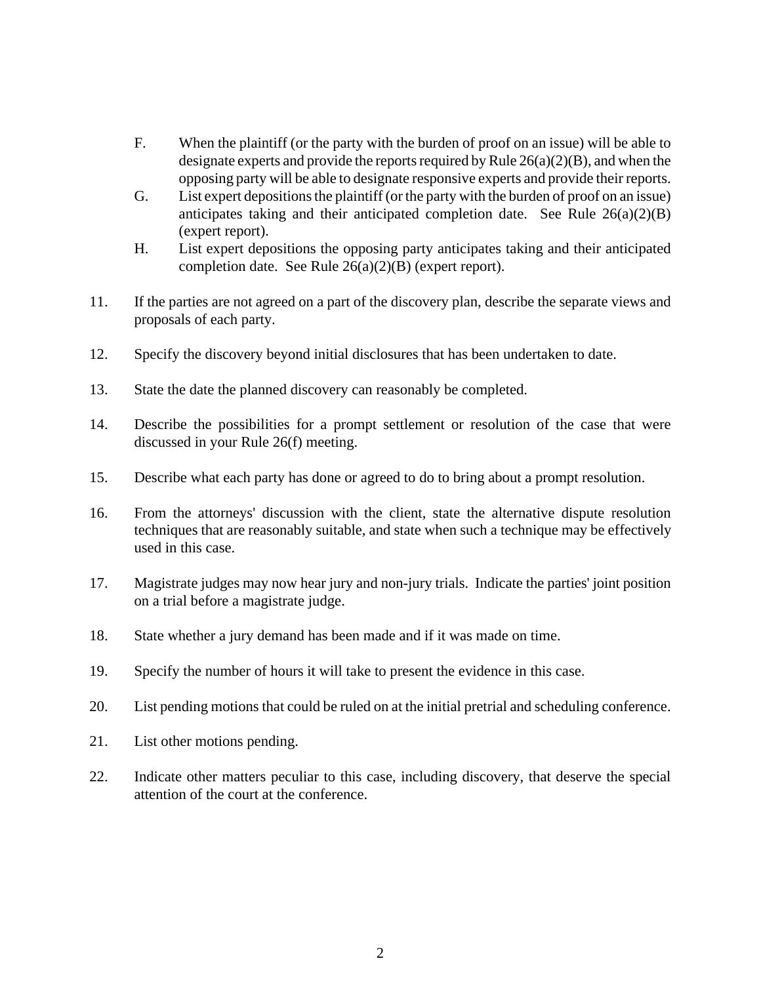- F. When the plaintiff (or the party with the burden of proof on an issue) will be able to designate experts and provide the reports required by Rule 26(a)(2)(B), and when the opposing party will be able to designate responsive experts and provide their reports.
- G. List expert depositions the plaintiff (or the party with the burden of proof on an issue) anticipates taking and their anticipated completion date. See Rule  $26(a)(2)(B)$ (expert report).
- H. List expert depositions the opposing party anticipates taking and their anticipated completion date. See Rule 26(a)(2)(B) (expert report).
- 11. If the parties are not agreed on a part of the discovery plan, describe the separate views and proposals of each party.
- 12. Specify the discovery beyond initial disclosures that has been undertaken to date.
- 13. State the date the planned discovery can reasonably be completed.
- 14. Describe the possibilities for a prompt settlement or resolution of the case that were discussed in your Rule 26(f) meeting.
- 15. Describe what each party has done or agreed to do to bring about a prompt resolution.
- 16. From the attorneys' discussion with the client, state the alternative dispute resolution techniques that are reasonably suitable, and state when such a technique may be effectively used in this case.
- 17. Magistrate judges may now hear jury and non-jury trials. Indicate the parties' joint position on a trial before a magistrate judge.
- 18. State whether a jury demand has been made and if it was made on time.
- 19. Specify the number of hours it will take to present the evidence in this case.
- 20. List pending motions that could be ruled on at the initial pretrial and scheduling conference.
- 21. List other motions pending.
- 22. Indicate other matters peculiar to this case, including discovery, that deserve the special attention of the court at the conference.